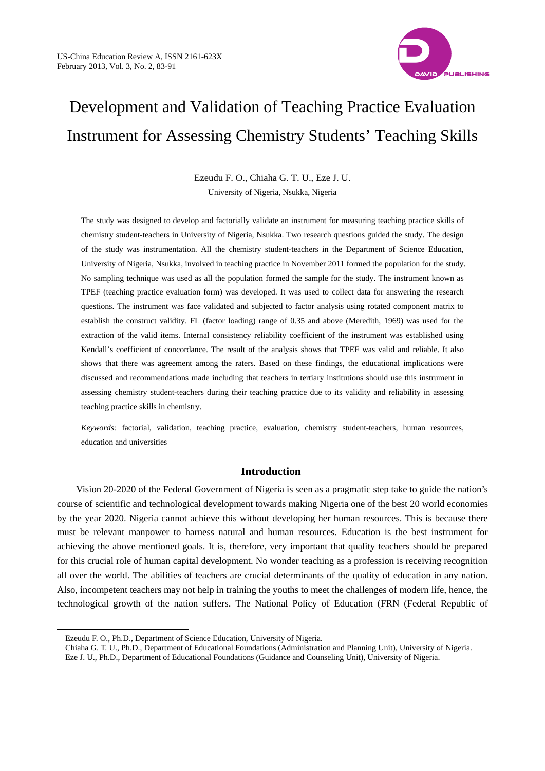

# Development and Validation of Teaching Practice Evaluation Instrument for Assessing Chemistry Students' Teaching Skills

Ezeudu F. O., Chiaha G. T. U., Eze J. U. University of Nigeria, Nsukka, Nigeria

The study was designed to develop and factorially validate an instrument for measuring teaching practice skills of chemistry student-teachers in University of Nigeria, Nsukka. Two research questions guided the study. The design of the study was instrumentation. All the chemistry student-teachers in the Department of Science Education, University of Nigeria, Nsukka, involved in teaching practice in November 2011 formed the population for the study. No sampling technique was used as all the population formed the sample for the study. The instrument known as TPEF (teaching practice evaluation form) was developed. It was used to collect data for answering the research questions. The instrument was face validated and subjected to factor analysis using rotated component matrix to establish the construct validity. FL (factor loading) range of 0.35 and above (Meredith, 1969) was used for the extraction of the valid items. Internal consistency reliability coefficient of the instrument was established using Kendall's coefficient of concordance. The result of the analysis shows that TPEF was valid and reliable. It also shows that there was agreement among the raters. Based on these findings, the educational implications were discussed and recommendations made including that teachers in tertiary institutions should use this instrument in assessing chemistry student-teachers during their teaching practice due to its validity and reliability in assessing teaching practice skills in chemistry.

*Keywords:* factorial, validation, teaching practice, evaluation, chemistry student-teachers, human resources, education and universities

# **Introduction**

Vision 20-2020 of the Federal Government of Nigeria is seen as a pragmatic step take to guide the nation's course of scientific and technological development towards making Nigeria one of the best 20 world economies by the year 2020. Nigeria cannot achieve this without developing her human resources. This is because there must be relevant manpower to harness natural and human resources. Education is the best instrument for achieving the above mentioned goals. It is, therefore, very important that quality teachers should be prepared for this crucial role of human capital development. No wonder teaching as a profession is receiving recognition all over the world. The abilities of teachers are crucial determinants of the quality of education in any nation. Also, incompetent teachers may not help in training the youths to meet the challenges of modern life, hence, the technological growth of the nation suffers. The National Policy of Education (FRN (Federal Republic of

 $\overline{a}$ 

Ezeudu F. O., Ph.D., Department of Science Education, University of Nigeria.

Chiaha G. T. U., Ph.D., Department of Educational Foundations (Administration and Planning Unit), University of Nigeria. Eze J. U., Ph.D., Department of Educational Foundations (Guidance and Counseling Unit), University of Nigeria.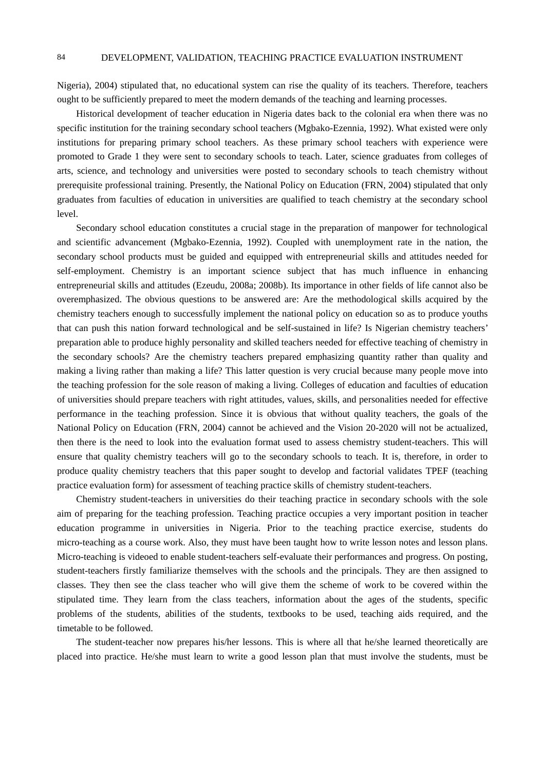Nigeria), 2004) stipulated that, no educational system can rise the quality of its teachers. Therefore, teachers ought to be sufficiently prepared to meet the modern demands of the teaching and learning processes.

Historical development of teacher education in Nigeria dates back to the colonial era when there was no specific institution for the training secondary school teachers (Mgbako-Ezennia, 1992). What existed were only institutions for preparing primary school teachers. As these primary school teachers with experience were promoted to Grade 1 they were sent to secondary schools to teach. Later, science graduates from colleges of arts, science, and technology and universities were posted to secondary schools to teach chemistry without prerequisite professional training. Presently, the National Policy on Education (FRN, 2004) stipulated that only graduates from faculties of education in universities are qualified to teach chemistry at the secondary school level.

Secondary school education constitutes a crucial stage in the preparation of manpower for technological and scientific advancement (Mgbako-Ezennia, 1992). Coupled with unemployment rate in the nation, the secondary school products must be guided and equipped with entrepreneurial skills and attitudes needed for self-employment. Chemistry is an important science subject that has much influence in enhancing entrepreneurial skills and attitudes (Ezeudu, 2008a; 2008b). Its importance in other fields of life cannot also be overemphasized. The obvious questions to be answered are: Are the methodological skills acquired by the chemistry teachers enough to successfully implement the national policy on education so as to produce youths that can push this nation forward technological and be self-sustained in life? Is Nigerian chemistry teachers' preparation able to produce highly personality and skilled teachers needed for effective teaching of chemistry in the secondary schools? Are the chemistry teachers prepared emphasizing quantity rather than quality and making a living rather than making a life? This latter question is very crucial because many people move into the teaching profession for the sole reason of making a living. Colleges of education and faculties of education of universities should prepare teachers with right attitudes, values, skills, and personalities needed for effective performance in the teaching profession. Since it is obvious that without quality teachers, the goals of the National Policy on Education (FRN, 2004) cannot be achieved and the Vision 20-2020 will not be actualized, then there is the need to look into the evaluation format used to assess chemistry student-teachers. This will ensure that quality chemistry teachers will go to the secondary schools to teach. It is, therefore, in order to produce quality chemistry teachers that this paper sought to develop and factorial validates TPEF (teaching practice evaluation form) for assessment of teaching practice skills of chemistry student-teachers.

Chemistry student-teachers in universities do their teaching practice in secondary schools with the sole aim of preparing for the teaching profession. Teaching practice occupies a very important position in teacher education programme in universities in Nigeria. Prior to the teaching practice exercise, students do micro-teaching as a course work. Also, they must have been taught how to write lesson notes and lesson plans. Micro-teaching is videoed to enable student-teachers self-evaluate their performances and progress. On posting, student-teachers firstly familiarize themselves with the schools and the principals. They are then assigned to classes. They then see the class teacher who will give them the scheme of work to be covered within the stipulated time. They learn from the class teachers, information about the ages of the students, specific problems of the students, abilities of the students, textbooks to be used, teaching aids required, and the timetable to be followed.

The student-teacher now prepares his/her lessons. This is where all that he/she learned theoretically are placed into practice. He/she must learn to write a good lesson plan that must involve the students, must be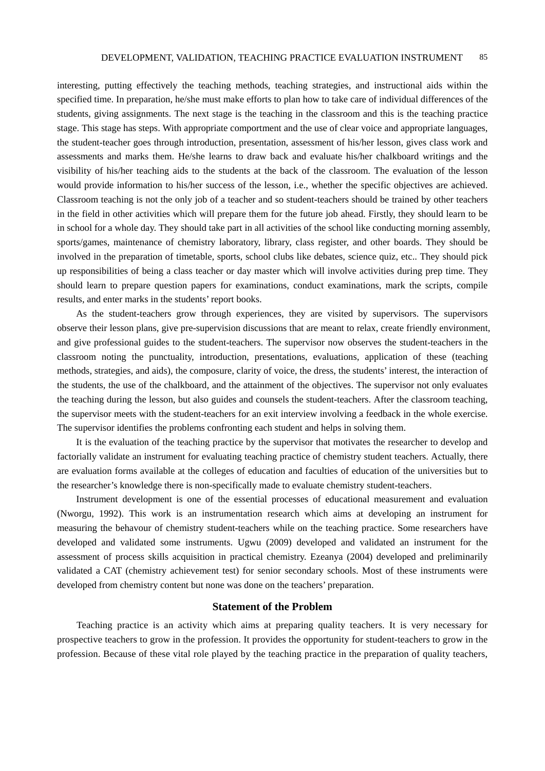interesting, putting effectively the teaching methods, teaching strategies, and instructional aids within the specified time. In preparation, he/she must make efforts to plan how to take care of individual differences of the students, giving assignments. The next stage is the teaching in the classroom and this is the teaching practice stage. This stage has steps. With appropriate comportment and the use of clear voice and appropriate languages, the student-teacher goes through introduction, presentation, assessment of his/her lesson, gives class work and assessments and marks them. He/she learns to draw back and evaluate his/her chalkboard writings and the visibility of his/her teaching aids to the students at the back of the classroom. The evaluation of the lesson would provide information to his/her success of the lesson, i.e., whether the specific objectives are achieved. Classroom teaching is not the only job of a teacher and so student-teachers should be trained by other teachers in the field in other activities which will prepare them for the future job ahead. Firstly, they should learn to be in school for a whole day. They should take part in all activities of the school like conducting morning assembly, sports/games, maintenance of chemistry laboratory, library, class register, and other boards. They should be involved in the preparation of timetable, sports, school clubs like debates, science quiz, etc.. They should pick up responsibilities of being a class teacher or day master which will involve activities during prep time. They should learn to prepare question papers for examinations, conduct examinations, mark the scripts, compile results, and enter marks in the students' report books.

As the student-teachers grow through experiences, they are visited by supervisors. The supervisors observe their lesson plans, give pre-supervision discussions that are meant to relax, create friendly environment, and give professional guides to the student-teachers. The supervisor now observes the student-teachers in the classroom noting the punctuality, introduction, presentations, evaluations, application of these (teaching methods, strategies, and aids), the composure, clarity of voice, the dress, the students' interest, the interaction of the students, the use of the chalkboard, and the attainment of the objectives. The supervisor not only evaluates the teaching during the lesson, but also guides and counsels the student-teachers. After the classroom teaching, the supervisor meets with the student-teachers for an exit interview involving a feedback in the whole exercise. The supervisor identifies the problems confronting each student and helps in solving them.

It is the evaluation of the teaching practice by the supervisor that motivates the researcher to develop and factorially validate an instrument for evaluating teaching practice of chemistry student teachers. Actually, there are evaluation forms available at the colleges of education and faculties of education of the universities but to the researcher's knowledge there is non-specifically made to evaluate chemistry student-teachers.

Instrument development is one of the essential processes of educational measurement and evaluation (Nworgu, 1992). This work is an instrumentation research which aims at developing an instrument for measuring the behavour of chemistry student-teachers while on the teaching practice. Some researchers have developed and validated some instruments. Ugwu (2009) developed and validated an instrument for the assessment of process skills acquisition in practical chemistry. Ezeanya (2004) developed and preliminarily validated a CAT (chemistry achievement test) for senior secondary schools. Most of these instruments were developed from chemistry content but none was done on the teachers' preparation.

## **Statement of the Problem**

Teaching practice is an activity which aims at preparing quality teachers. It is very necessary for prospective teachers to grow in the profession. It provides the opportunity for student-teachers to grow in the profession. Because of these vital role played by the teaching practice in the preparation of quality teachers,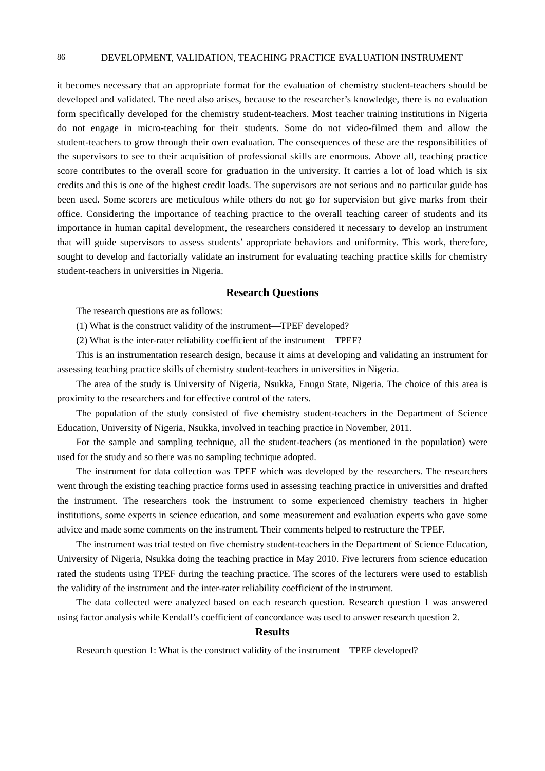### 86 DEVELOPMENT, VALIDATION, TEACHING PRACTICE EVALUATION INSTRUMENT

it becomes necessary that an appropriate format for the evaluation of chemistry student-teachers should be developed and validated. The need also arises, because to the researcher's knowledge, there is no evaluation form specifically developed for the chemistry student-teachers. Most teacher training institutions in Nigeria do not engage in micro-teaching for their students. Some do not video-filmed them and allow the student-teachers to grow through their own evaluation. The consequences of these are the responsibilities of the supervisors to see to their acquisition of professional skills are enormous. Above all, teaching practice score contributes to the overall score for graduation in the university. It carries a lot of load which is six credits and this is one of the highest credit loads. The supervisors are not serious and no particular guide has been used. Some scorers are meticulous while others do not go for supervision but give marks from their office. Considering the importance of teaching practice to the overall teaching career of students and its importance in human capital development, the researchers considered it necessary to develop an instrument that will guide supervisors to assess students' appropriate behaviors and uniformity. This work, therefore, sought to develop and factorially validate an instrument for evaluating teaching practice skills for chemistry student-teachers in universities in Nigeria.

#### **Research Questions**

The research questions are as follows:

 $(1)$  What is the construct validity of the instrument—TPEF developed?

(2) What is the inter-rater reliability coefficient of the instrument-TPEF?

This is an instrumentation research design, because it aims at developing and validating an instrument for assessing teaching practice skills of chemistry student-teachers in universities in Nigeria.

The area of the study is University of Nigeria, Nsukka, Enugu State, Nigeria. The choice of this area is proximity to the researchers and for effective control of the raters.

The population of the study consisted of five chemistry student-teachers in the Department of Science Education, University of Nigeria, Nsukka, involved in teaching practice in November, 2011.

For the sample and sampling technique, all the student-teachers (as mentioned in the population) were used for the study and so there was no sampling technique adopted.

The instrument for data collection was TPEF which was developed by the researchers. The researchers went through the existing teaching practice forms used in assessing teaching practice in universities and drafted the instrument. The researchers took the instrument to some experienced chemistry teachers in higher institutions, some experts in science education, and some measurement and evaluation experts who gave some advice and made some comments on the instrument. Their comments helped to restructure the TPEF.

The instrument was trial tested on five chemistry student-teachers in the Department of Science Education, University of Nigeria, Nsukka doing the teaching practice in May 2010. Five lecturers from science education rated the students using TPEF during the teaching practice. The scores of the lecturers were used to establish the validity of the instrument and the inter-rater reliability coefficient of the instrument.

The data collected were analyzed based on each research question. Research question 1 was answered using factor analysis while Kendall's coefficient of concordance was used to answer research question 2.

#### **Results**

Research question 1: What is the construct validity of the instrument—TPEF developed?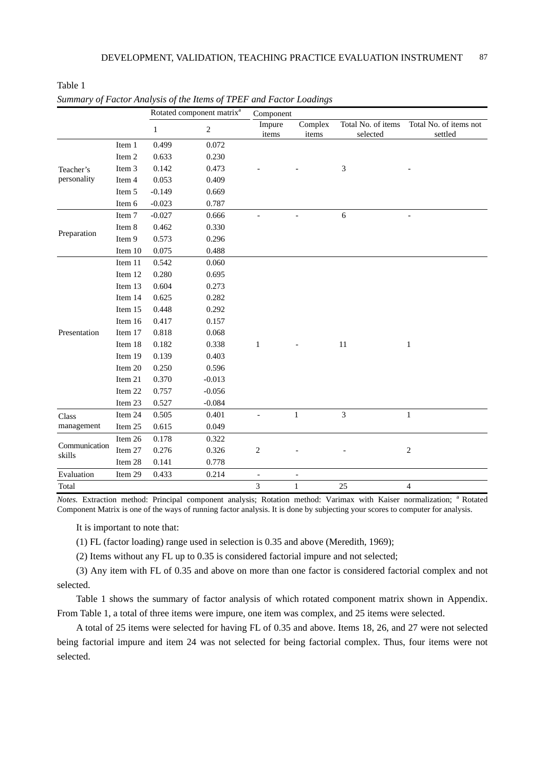|                         |         |              | Rotated component matrix <sup>a</sup> | Component       |                          |                                |                                   |
|-------------------------|---------|--------------|---------------------------------------|-----------------|--------------------------|--------------------------------|-----------------------------------|
|                         |         | $\mathbf{1}$ | $\sqrt{2}$                            | Impure<br>items | Complex<br>items         | Total No. of items<br>selected | Total No. of items not<br>settled |
|                         | Item 1  | 0.499        | 0.072                                 |                 |                          |                                |                                   |
|                         | Item 2  | 0.633        | 0.230                                 |                 |                          |                                |                                   |
| Teacher's               | Item 3  | 0.142        | 0.473                                 |                 |                          | 3                              |                                   |
| personality             | Item 4  | 0.053        | 0.409                                 |                 |                          |                                |                                   |
|                         | Item 5  | $-0.149$     | 0.669                                 |                 |                          |                                |                                   |
|                         | Item 6  | $-0.023$     | 0.787                                 |                 |                          |                                |                                   |
|                         | Item 7  | $-0.027$     | 0.666                                 |                 |                          | 6                              |                                   |
| Preparation             | Item 8  | 0.462        | 0.330                                 |                 |                          |                                |                                   |
|                         | Item 9  | 0.573        | 0.296                                 |                 |                          |                                |                                   |
|                         | Item 10 | 0.075        | 0.488                                 |                 |                          |                                |                                   |
|                         | Item 11 | 0.542        | 0.060                                 |                 |                          |                                |                                   |
|                         | Item 12 | 0.280        | 0.695                                 |                 |                          |                                |                                   |
|                         | Item 13 | 0.604        | 0.273                                 |                 |                          |                                |                                   |
|                         | Item 14 | 0.625        | 0.282                                 |                 |                          |                                |                                   |
|                         | Item 15 | 0.448        | 0.292                                 |                 |                          |                                |                                   |
|                         | Item 16 | 0.417        | 0.157                                 |                 |                          |                                |                                   |
| Presentation            | Item 17 | 0.818        | 0.068                                 |                 |                          |                                |                                   |
|                         | Item 18 | 0.182        | 0.338                                 | 1               |                          | 11                             | 1                                 |
|                         | Item 19 | 0.139        | 0.403                                 |                 |                          |                                |                                   |
|                         | Item 20 | 0.250        | 0.596                                 |                 |                          |                                |                                   |
|                         | Item 21 | 0.370        | $-0.013$                              |                 |                          |                                |                                   |
|                         | Item 22 | 0.757        | $-0.056$                              |                 |                          |                                |                                   |
|                         | Item 23 | 0.527        | $-0.084$                              |                 |                          |                                |                                   |
| Class                   | Item 24 | 0.505        | 0.401                                 |                 | $\mathbf{1}$             | 3                              | $\mathbf{1}$                      |
| management              | Item 25 | 0.615        | 0.049                                 |                 |                          |                                |                                   |
|                         | Item 26 | 0.178        | 0.322                                 |                 |                          |                                |                                   |
| Communication<br>skills | Item 27 | 0.276        | 0.326                                 | $\overline{c}$  |                          |                                | $\overline{2}$                    |
|                         | Item 28 | 0.141        | 0.778                                 |                 |                          |                                |                                   |
| Evaluation              | Item 29 | 0.433        | 0.214                                 | $\blacksquare$  | $\overline{\phantom{a}}$ |                                |                                   |
| Total                   |         |              |                                       | 3               | $\mathbf{1}$             | 25                             | $\overline{4}$                    |

|  | Summary of Factor Analysis of the Items of TPEF and Factor Loadings |  |  |  |  |
|--|---------------------------------------------------------------------|--|--|--|--|
|--|---------------------------------------------------------------------|--|--|--|--|

Table 1

*Notes*. Extraction method: Principal component analysis; Rotation method: Varimax with Kaiser normalization; <sup>a</sup> Rotated Component Matrix is one of the ways of running factor analysis. It is done by subjecting your scores to computer for analysis.

It is important to note that:

(1) FL (factor loading) range used in selection is 0.35 and above (Meredith, 1969);

(2) Items without any FL up to 0.35 is considered factorial impure and not selected;

(3) Any item with FL of 0.35 and above on more than one factor is considered factorial complex and not selected.

Table 1 shows the summary of factor analysis of which rotated component matrix shown in Appendix. From Table 1, a total of three items were impure, one item was complex, and 25 items were selected.

A total of 25 items were selected for having FL of 0.35 and above. Items 18, 26, and 27 were not selected being factorial impure and item 24 was not selected for being factorial complex. Thus, four items were not selected.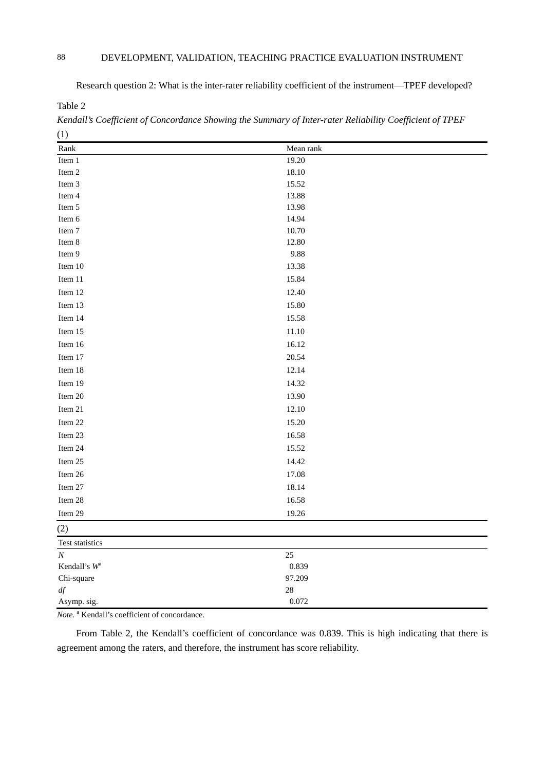Research question 2: What is the inter-rater reliability coefficient of the instrument—TPEF developed?

Table 2

*Kendall's Coefficient of Concordance Showing the Summary of Inter-rater Reliability Coefficient of TPEF*  (1)

| $\sim$          |           |
|-----------------|-----------|
| Rank            | Mean rank |
| Item 1          | 19.20     |
| Item 2          | 18.10     |
| Item 3          | 15.52     |
| Item 4          | 13.88     |
| Item 5          | 13.98     |
| Item 6          | 14.94     |
| Item 7          | 10.70     |
| Item 8          | 12.80     |
| Item 9          | 9.88      |
| Item 10         | 13.38     |
| Item 11         | 15.84     |
| Item 12         | 12.40     |
| Item 13         | 15.80     |
| Item 14         | 15.58     |
| Item 15         | 11.10     |
| Item 16         | 16.12     |
| Item 17         | 20.54     |
| Item 18         | 12.14     |
| Item 19         | 14.32     |
| Item 20         | 13.90     |
| Item 21         | 12.10     |
| Item 22         | 15.20     |
| Item 23         | 16.58     |
| Item 24         | 15.52     |
| Item 25         | 14.42     |
| Item 26         | 17.08     |
| Item 27         | 18.14     |
| Item 28         | 16.58     |
| Item 29         | 19.26     |
| (2)             |           |
| Test statistics |           |
| $\cal N$        | $25\,$    |
| Kendall's $W^a$ | 0.839     |
| Chi-square      | 97.209    |
| $d\!f$          | $28\,$    |
| Asymp. sig.     | 0.072     |

Note.<sup>a</sup> Kendall's coefficient of concordance.

From Table 2, the Kendall's coefficient of concordance was 0.839. This is high indicating that there is agreement among the raters, and therefore, the instrument has score reliability.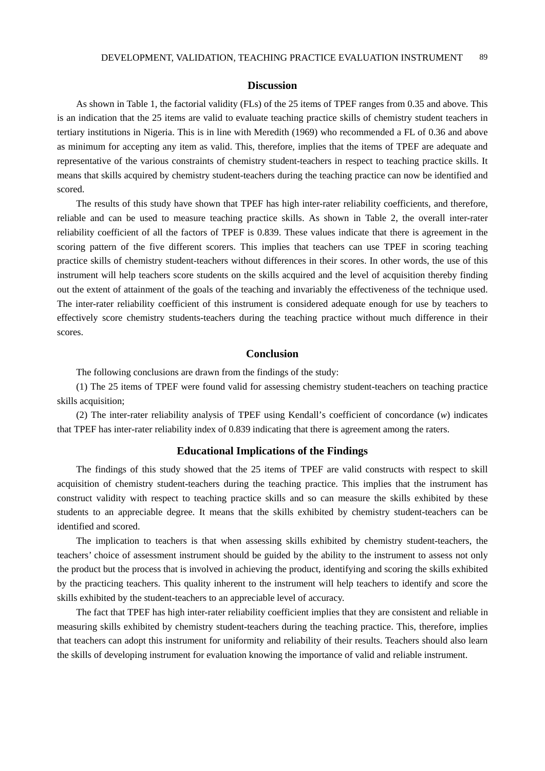### **Discussion**

As shown in Table 1, the factorial validity (FLs) of the 25 items of TPEF ranges from 0.35 and above. This is an indication that the 25 items are valid to evaluate teaching practice skills of chemistry student teachers in tertiary institutions in Nigeria. This is in line with Meredith (1969) who recommended a FL of 0.36 and above as minimum for accepting any item as valid. This, therefore, implies that the items of TPEF are adequate and representative of the various constraints of chemistry student-teachers in respect to teaching practice skills. It means that skills acquired by chemistry student-teachers during the teaching practice can now be identified and scored.

The results of this study have shown that TPEF has high inter-rater reliability coefficients, and therefore, reliable and can be used to measure teaching practice skills. As shown in Table 2, the overall inter-rater reliability coefficient of all the factors of TPEF is 0.839. These values indicate that there is agreement in the scoring pattern of the five different scorers. This implies that teachers can use TPEF in scoring teaching practice skills of chemistry student-teachers without differences in their scores. In other words, the use of this instrument will help teachers score students on the skills acquired and the level of acquisition thereby finding out the extent of attainment of the goals of the teaching and invariably the effectiveness of the technique used. The inter-rater reliability coefficient of this instrument is considered adequate enough for use by teachers to effectively score chemistry students-teachers during the teaching practice without much difference in their scores.

#### **Conclusion**

The following conclusions are drawn from the findings of the study:

(1) The 25 items of TPEF were found valid for assessing chemistry student-teachers on teaching practice skills acquisition;

(2) The inter-rater reliability analysis of TPEF using Kendall's coefficient of concordance (*w*) indicates that TPEF has inter-rater reliability index of 0.839 indicating that there is agreement among the raters.

## **Educational Implications of the Findings**

The findings of this study showed that the 25 items of TPEF are valid constructs with respect to skill acquisition of chemistry student-teachers during the teaching practice. This implies that the instrument has construct validity with respect to teaching practice skills and so can measure the skills exhibited by these students to an appreciable degree. It means that the skills exhibited by chemistry student-teachers can be identified and scored.

The implication to teachers is that when assessing skills exhibited by chemistry student-teachers, the teachers' choice of assessment instrument should be guided by the ability to the instrument to assess not only the product but the process that is involved in achieving the product, identifying and scoring the skills exhibited by the practicing teachers. This quality inherent to the instrument will help teachers to identify and score the skills exhibited by the student-teachers to an appreciable level of accuracy.

The fact that TPEF has high inter-rater reliability coefficient implies that they are consistent and reliable in measuring skills exhibited by chemistry student-teachers during the teaching practice. This, therefore, implies that teachers can adopt this instrument for uniformity and reliability of their results. Teachers should also learn the skills of developing instrument for evaluation knowing the importance of valid and reliable instrument.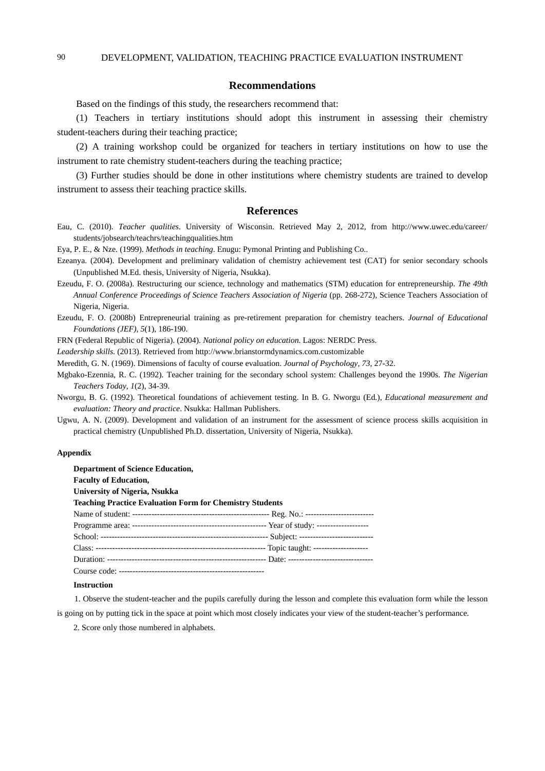#### **Recommendations**

Based on the findings of this study, the researchers recommend that:

(1) Teachers in tertiary institutions should adopt this instrument in assessing their chemistry student-teachers during their teaching practice;

(2) A training workshop could be organized for teachers in tertiary institutions on how to use the instrument to rate chemistry student-teachers during the teaching practice;

(3) Further studies should be done in other institutions where chemistry students are trained to develop instrument to assess their teaching practice skills.

#### **References**

- Eau, C. (2010). *Teacher qualities*. University of Wisconsin. Retrieved May 2, 2012, from http://www.uwec.edu/career/ students/jobsearch/teachrs/teachingqualities.htm
- Eya, P. E., & Nze. (1999). *Methods in teaching*. Enugu: Pymonal Printing and Publishing Co..
- Ezeanya. (2004). Development and preliminary validation of chemistry achievement test (CAT) for senior secondary schools (Unpublished M.Ed. thesis, University of Nigeria, Nsukka).
- Ezeudu, F. O. (2008a). Restructuring our science, technology and mathematics (STM) education for entrepreneurship. *The 49th Annual Conference Proceedings of Science Teachers Association of Nigeria* (pp. 268-272), Science Teachers Association of Nigeria, Nigeria.
- Ezeudu, F. O. (2008b) Entrepreneurial training as pre-retirement preparation for chemistry teachers. *Journal of Educational Foundations (JEF), 5*(1), 186-190.

FRN (Federal Republic of Nigeria). (2004). *National policy on education*. Lagos: NERDC Press.

*Leadership skills*. (2013). Retrieved from http://www.brianstormdynamics.com.customizable

Meredith, G. N. (1969). Dimensions of faculty of course evaluation. *Journal of Psychology, 73*, 27-32.

Mgbako-Ezennia, R. C. (1992). Teacher training for the secondary school system: Challenges beyond the 1990s. *The Nigerian Teachers Today, 1*(2), 34-39.

- Nworgu, B. G. (1992). Theoretical foundations of achievement testing. In B. G. Nworgu (Ed.), *Educational measurement and evaluation: Theory and practice*. Nsukka: Hallman Publishers.
- Ugwu, A. N. (2009). Development and validation of an instrument for the assessment of science process skills acquisition in practical chemistry (Unpublished Ph.D. dissertation, University of Nigeria, Nsukka).

#### **Appendix**

| <b>Department of Science Education,</b>                         |
|-----------------------------------------------------------------|
| <b>Faculty of Education,</b>                                    |
| University of Nigeria, Nsukka                                   |
| <b>Teaching Practice Evaluation Form for Chemistry Students</b> |
|                                                                 |
|                                                                 |
|                                                                 |
|                                                                 |
|                                                                 |
|                                                                 |

#### **Instruction**

1. Observe the student-teacher and the pupils carefully during the lesson and complete this evaluation form while the lesson is going on by putting tick in the space at point which most closely indicates your view of the student-teacher's performance.

2. Score only those numbered in alphabets.